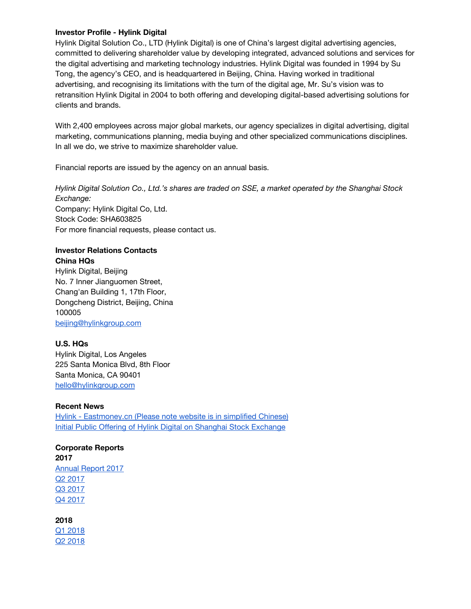#### **Investor Profile - Hylink Digital**

Hylink Digital Solution Co., LTD (Hylink Digital) is one of China's largest digital advertising agencies, committed to delivering shareholder value by developing integrated, advanced solutions and services for the digital advertising and marketing technology industries. Hylink Digital was founded in 1994 by Su Tong, the agency's CEO, and is headquartered in Beijing, China. Having worked in traditional advertising, and recognising its limitations with the turn of the digital age, Mr. Su's vision was to retransition Hylink Digital in 2004 to both offering and developing digital-based advertising solutions for clients and brands.

With 2,400 employees across major global markets, our agency specializes in digital advertising, digital marketing, communications planning, media buying and other specialized communications disciplines. In all we do, we strive to maximize shareholder value.

Financial reports are issued by the agency on an annual basis.

*Hylink Digital Solution Co., Ltd.'s shares are traded on SSE, a market operated by the Shanghai Stock Exchange:* Company: Hylink Digital Co, Ltd. Stock Code: SHA603825 For more financial requests, please contact us.

# **Investor Relations Contacts**

**China HQs** Hylink Digital, Beijing No. 7 Inner Jianguomen Street, Chang'an Building 1, 17th Floor, Dongcheng District, Beijing, China 100005 [beijing@hylinkgroup.com](mailto:beijing@hylinkgroup.com)

## **U.S. HQs**

Hylink Digital, Los Angeles 225 Santa Monica Blvd, 8th Floor Santa Monica, CA 90401 [hello@hylinkgroup.com](mailto:hello@hylinkgroup.com)

## **Recent News**

Hylink - [Eastmoney.cn](http://quote.eastmoney.com/sh603825.html) (Please note website is in simplified Chinese) Initial Public Offering of Hylink Digital on Shanghai Stock [Exchange](https://docs.google.com/a/hylinkgroup.com/document/d/1HkbtuUC1z0wIU3BSsjjHi5yUZnXVETu2lSU1FVt1hTc/edit?usp=drive_web)

#### **Corporate Reports 2017**

[Annual](http://pdf.dfcfw.com/pdf/H2_AN201804251130535012_1.pdf) Report 2017 Q2 [2017](https://drive.google.com/a/hylinkgroup.com/file/d/1XXlKvluPCmeaWbqTfudhCGY_AD5yKxaT/view?usp=drive_web) Q3 [2017](https://drive.google.com/a/hylinkgroup.com/file/d/1Vx5n_Lp-w9V0_FPDxXuuV6LhJyvqvzD9/view?usp=drive_web) Q4 [2017](https://drive.google.com/a/hylinkgroup.com/file/d/1kKilSCGOpFX38yUVHIy93W84Ce0KJcS5/view?usp=drive_web)

**2018** Q1 [2018](https://drive.google.com/a/hylinkgroup.com/file/d/1xgmvxkoL9xE1_-0-5V3k9jSGux9oxbkW/view?usp=drive_web) Q2 [2018](https://drive.google.com/a/hylinkgroup.com/file/d/1EPyfkmS3hAFx0VaZDi00TQHy6HmHKzXD/view?usp=drive_web)